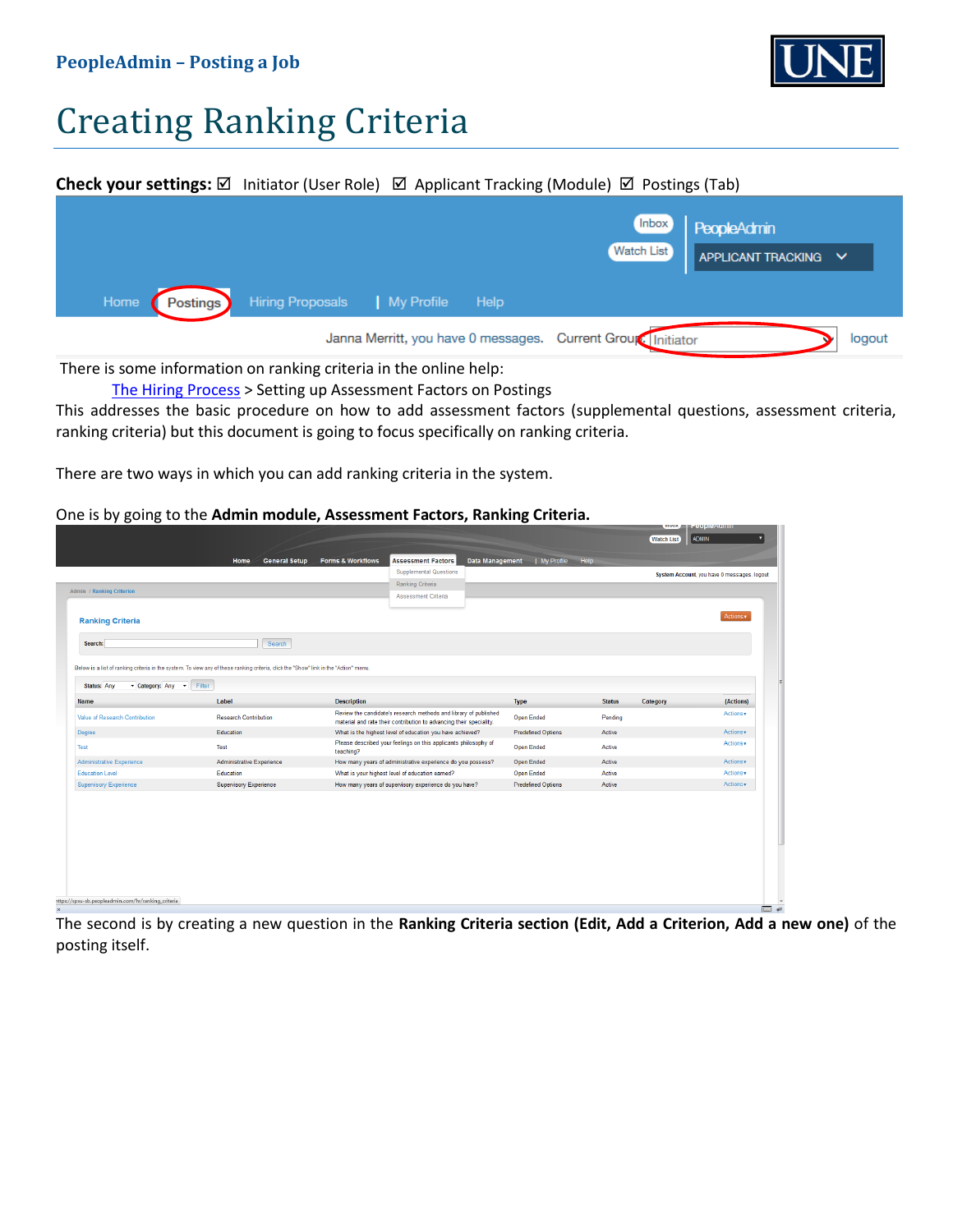

# Creating Ranking Criteria

#### **Check your settings:** Ø Initiator (User Role) Ø Applicant Tracking (Module) Ø Postings (Tab)



There is some information on ranking criteria in the online help:

[The Hiring Process](https://employment.spsu.edu/help/6749089e1e7125d22953e3497bde68462e53738a/Content/06_mng_hiring/c_abt_postings.htm) > Setting up Assessment Factors on Postings

This addresses the basic procedure on how to add assessment factors (supplemental questions, assessment criteria, ranking criteria) but this document is going to focus specifically on ranking criteria.

There are two ways in which you can add ranking criteria in the system.

#### One is by going to the **Admin module, Assessment Factors, Ranking Criteria.**

|                                     |                                                                                                                                       |                    | <b>Supplemental Questions</b>                                                                                                           |                           |               |          | System Account, you have 0 messages, logout |
|-------------------------------------|---------------------------------------------------------------------------------------------------------------------------------------|--------------------|-----------------------------------------------------------------------------------------------------------------------------------------|---------------------------|---------------|----------|---------------------------------------------|
|                                     |                                                                                                                                       |                    | Ranking Criteria                                                                                                                        |                           |               |          |                                             |
| <b>Admin / Ranking Criterion</b>    |                                                                                                                                       |                    | Assessment Criteria                                                                                                                     |                           |               |          |                                             |
|                                     |                                                                                                                                       |                    |                                                                                                                                         |                           |               |          |                                             |
| <b>Ranking Criteria</b>             |                                                                                                                                       |                    |                                                                                                                                         |                           |               |          | Actions v                                   |
| Search:                             | Search                                                                                                                                |                    |                                                                                                                                         |                           |               |          |                                             |
|                                     |                                                                                                                                       |                    |                                                                                                                                         |                           |               |          |                                             |
|                                     | Below is a list of ranking criteria in the system. To view any of these ranking criteria, click the "Show" link in the "Action" menu. |                    |                                                                                                                                         |                           |               |          |                                             |
| <b>Status: Any</b><br>Category: Any | $\blacktriangleright$ Filter                                                                                                          |                    |                                                                                                                                         |                           |               |          |                                             |
| <b>Name</b>                         | Label                                                                                                                                 | <b>Description</b> |                                                                                                                                         | <b>Type</b>               | <b>Status</b> | Category | (Actions)                                   |
| Value of Research Contribution      | <b>Research Contribution</b>                                                                                                          |                    | Review the candidate's research methods and library of published<br>material and rate their contribution to advancing their speciality. | <b>Open Ended</b>         | Pending       |          | Actions v                                   |
| Degree                              | Education                                                                                                                             |                    | What is the highest level of education you have achieved?                                                                               | <b>Predefined Options</b> | Active        |          | Actions v                                   |
| Test                                | Test                                                                                                                                  | teaching?          | Please described your feelings on this applicants philosophy of                                                                         | <b>Open Ended</b>         | Active        |          | Actions v                                   |
| Administrative Experience           | <b>Administrative Experience</b>                                                                                                      |                    | How many years of administrative experience do you possess?                                                                             | Open Ended                | Active        |          | Actions v                                   |
| <b>Education Level</b>              | Education                                                                                                                             |                    | What is your highest level of education earned?                                                                                         | <b>Open Ended</b>         | Active        |          | Actions v                                   |
| <b>Supervisory Experience</b>       | <b>Supervisory Experience</b>                                                                                                         |                    | How many years of supervisory experience do you have?                                                                                   | <b>Predefined Options</b> | Active        |          | Actions .                                   |

The second is by creating a new question in the **Ranking Criteria section (Edit, Add a Criterion, Add a new one)** of the posting itself.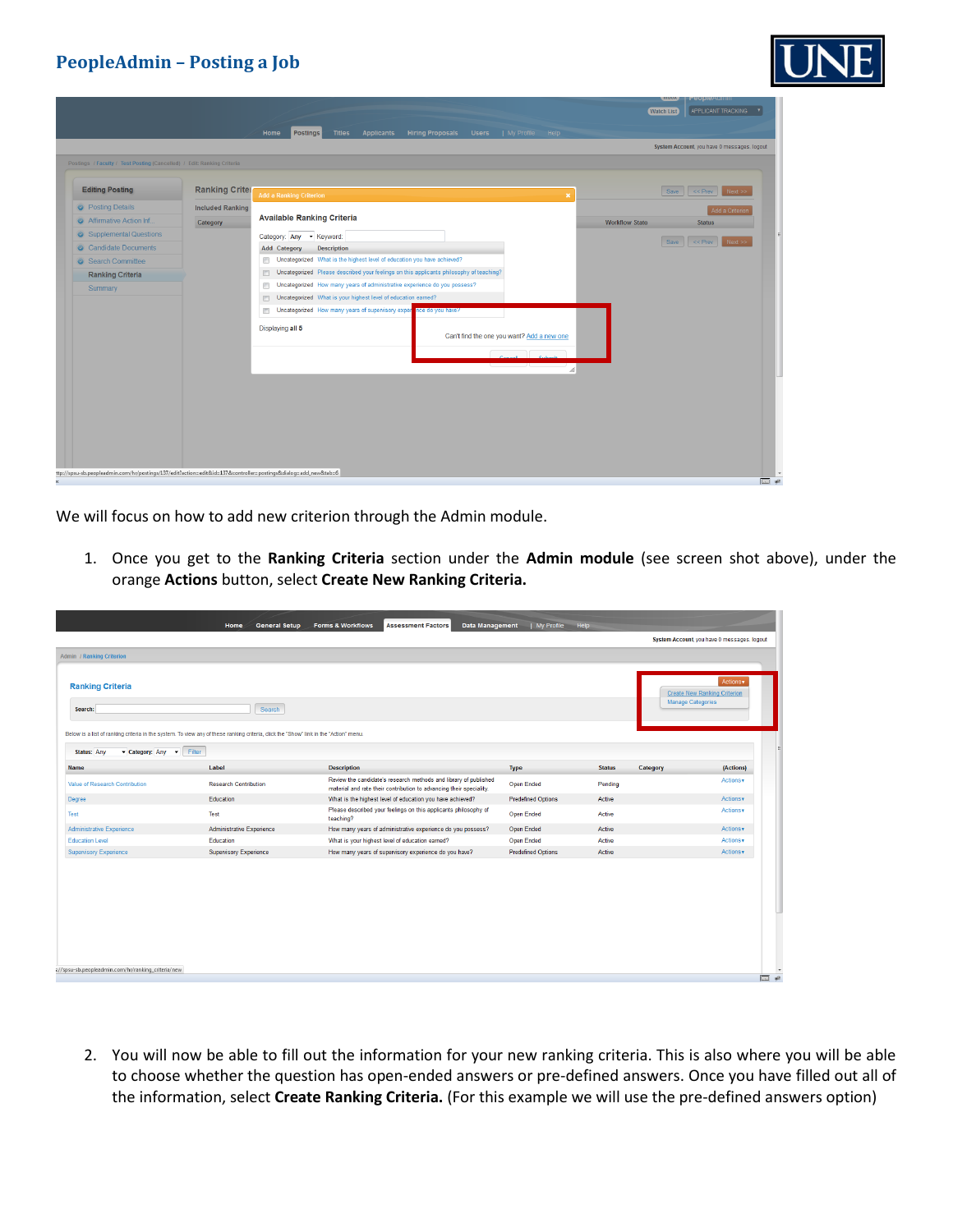

|                                                                                                                |                         | <b>Titles</b><br><b>Applicants</b><br>Home<br><b>Postings</b>                                | <b>Hiring Proposals</b><br><b>Users</b><br>  My Profile | APPLICANT TRACKING<br><b>Watch List</b><br><b>Help</b>      |
|----------------------------------------------------------------------------------------------------------------|-------------------------|----------------------------------------------------------------------------------------------|---------------------------------------------------------|-------------------------------------------------------------|
|                                                                                                                |                         |                                                                                              |                                                         | System Account, you have 0 messages. logout                 |
| Postings / Faculty / Test Posting (Cancelled) / Edit: Ranking Criteria                                         |                         |                                                                                              |                                                         |                                                             |
| <b>Editing Posting</b>                                                                                         | <b>Ranking Criter</b>   | <b>Add a Ranking Criterion</b>                                                               |                                                         | Save<br>$\leq$ Prev<br>Next >><br>$\boldsymbol{\mathsf{x}}$ |
| <b>O</b> Posting Details                                                                                       | <b>Included Ranking</b> |                                                                                              |                                                         | Add a Criterior                                             |
| Affirmative Action Inf                                                                                         | Category                | <b>Available Ranking Criteria</b>                                                            |                                                         | <b>Workflow State</b><br><b>Status</b>                      |
| Supplemental Questions                                                                                         |                         | Category: Any - Keyword:                                                                     |                                                         |                                                             |
| Candidate Documents                                                                                            |                         | <b>Description</b><br><b>Add Category</b>                                                    |                                                         | Save<br>$<<$ Prev<br>Next >>                                |
| Search Committee                                                                                               |                         | Uncategorized What is the highest level of education you have achieved?<br>m                 |                                                         |                                                             |
| <b>Ranking Criteria</b>                                                                                        |                         | Uncategorized Please described your feelings on this applicants philosophy of teaching?<br>門 |                                                         |                                                             |
| Summary                                                                                                        |                         | Uncategorized How many years of administrative experience do you possess?<br>E               |                                                         |                                                             |
|                                                                                                                |                         | Uncategorized What is your highest level of education earned?<br>同                           |                                                         |                                                             |
|                                                                                                                |                         | Uncategorized How many years of supervisory experince do you have?<br>Œ                      |                                                         |                                                             |
|                                                                                                                |                         | Displaying all 5                                                                             | Can't find the one you want? Add a new one              |                                                             |
|                                                                                                                |                         |                                                                                              | <b>Concrete Contract</b>                                |                                                             |
|                                                                                                                |                         |                                                                                              |                                                         | h.                                                          |
|                                                                                                                |                         |                                                                                              |                                                         |                                                             |
|                                                                                                                |                         |                                                                                              |                                                         |                                                             |
|                                                                                                                |                         |                                                                                              |                                                         |                                                             |
|                                                                                                                |                         |                                                                                              |                                                         |                                                             |
|                                                                                                                |                         |                                                                                              |                                                         |                                                             |
|                                                                                                                |                         |                                                                                              |                                                         |                                                             |
|                                                                                                                |                         |                                                                                              |                                                         |                                                             |
| ttp://spsu-sb.peopleadmin.com/hr/postings/137/edit?action=edit&id=137&controller=postings&dialog=add_new&tab=6 |                         |                                                                                              |                                                         | $\overline{m}$ +                                            |

We will focus on how to add new criterion through the Admin module.

1. Once you get to the **Ranking Criteria** section under the **Admin module** (see screen shot above), under the orange **Actions** button, select **Create New Ranking Criteria.**

| Data Management<br><b>General Setup</b><br><b>Forms &amp; Workflows</b><br><b>Assessment Factors</b><br>  My Profile Help<br>Home<br>System Account, you have 0 messages. logout<br><b>Ranking Criteria</b><br><b>Create New Ranking Criterion</b><br><b>Manage Categories</b><br>Search<br>Search:<br>Below is a list of ranking criteria in the system. To view any of these ranking criteria, click the "Show" link in the "Action" menu.<br><b>Status: Any</b><br>Category: Any v<br>Filter<br>Label<br><b>Description</b><br>Type<br>(Actions)<br><b>Name</b><br><b>Status</b><br>Category<br>Review the candidate's research methods and library of published<br>Actions v<br><b>Research Contribution</b><br>Open Ended<br>Pending<br>material and rate their contribution to advancing their speciality.<br><b>Predefined Options</b><br>Education<br>What is the highest level of education you have achieved?<br>Active<br>Please described your feelings on this applicants philosophy of<br>Test<br><b>Open Ended</b><br>Active<br>teaching?<br>Administrative Experience<br>How many years of administrative experience do you possess?<br>Open Ended<br>Active<br>What is your highest level of education earned?<br>Open Ended<br>Education<br>Active |                                                    |  |                                                       |                           |        |           |
|----------------------------------------------------------------------------------------------------------------------------------------------------------------------------------------------------------------------------------------------------------------------------------------------------------------------------------------------------------------------------------------------------------------------------------------------------------------------------------------------------------------------------------------------------------------------------------------------------------------------------------------------------------------------------------------------------------------------------------------------------------------------------------------------------------------------------------------------------------------------------------------------------------------------------------------------------------------------------------------------------------------------------------------------------------------------------------------------------------------------------------------------------------------------------------------------------------------------------------------------------------------------|----------------------------------------------------|--|-------------------------------------------------------|---------------------------|--------|-----------|
|                                                                                                                                                                                                                                                                                                                                                                                                                                                                                                                                                                                                                                                                                                                                                                                                                                                                                                                                                                                                                                                                                                                                                                                                                                                                      |                                                    |  |                                                       |                           |        |           |
|                                                                                                                                                                                                                                                                                                                                                                                                                                                                                                                                                                                                                                                                                                                                                                                                                                                                                                                                                                                                                                                                                                                                                                                                                                                                      |                                                    |  |                                                       |                           |        |           |
|                                                                                                                                                                                                                                                                                                                                                                                                                                                                                                                                                                                                                                                                                                                                                                                                                                                                                                                                                                                                                                                                                                                                                                                                                                                                      | <b>Admin / Ranking Criterion</b>                   |  |                                                       |                           |        |           |
|                                                                                                                                                                                                                                                                                                                                                                                                                                                                                                                                                                                                                                                                                                                                                                                                                                                                                                                                                                                                                                                                                                                                                                                                                                                                      |                                                    |  |                                                       |                           |        |           |
|                                                                                                                                                                                                                                                                                                                                                                                                                                                                                                                                                                                                                                                                                                                                                                                                                                                                                                                                                                                                                                                                                                                                                                                                                                                                      |                                                    |  |                                                       |                           |        | Actions v |
|                                                                                                                                                                                                                                                                                                                                                                                                                                                                                                                                                                                                                                                                                                                                                                                                                                                                                                                                                                                                                                                                                                                                                                                                                                                                      |                                                    |  |                                                       |                           |        |           |
|                                                                                                                                                                                                                                                                                                                                                                                                                                                                                                                                                                                                                                                                                                                                                                                                                                                                                                                                                                                                                                                                                                                                                                                                                                                                      |                                                    |  |                                                       |                           |        |           |
|                                                                                                                                                                                                                                                                                                                                                                                                                                                                                                                                                                                                                                                                                                                                                                                                                                                                                                                                                                                                                                                                                                                                                                                                                                                                      |                                                    |  |                                                       |                           |        |           |
|                                                                                                                                                                                                                                                                                                                                                                                                                                                                                                                                                                                                                                                                                                                                                                                                                                                                                                                                                                                                                                                                                                                                                                                                                                                                      |                                                    |  |                                                       |                           |        |           |
|                                                                                                                                                                                                                                                                                                                                                                                                                                                                                                                                                                                                                                                                                                                                                                                                                                                                                                                                                                                                                                                                                                                                                                                                                                                                      |                                                    |  |                                                       |                           |        |           |
|                                                                                                                                                                                                                                                                                                                                                                                                                                                                                                                                                                                                                                                                                                                                                                                                                                                                                                                                                                                                                                                                                                                                                                                                                                                                      |                                                    |  |                                                       |                           |        |           |
|                                                                                                                                                                                                                                                                                                                                                                                                                                                                                                                                                                                                                                                                                                                                                                                                                                                                                                                                                                                                                                                                                                                                                                                                                                                                      |                                                    |  |                                                       |                           |        |           |
|                                                                                                                                                                                                                                                                                                                                                                                                                                                                                                                                                                                                                                                                                                                                                                                                                                                                                                                                                                                                                                                                                                                                                                                                                                                                      | Value of Research Contribution                     |  |                                                       |                           |        |           |
|                                                                                                                                                                                                                                                                                                                                                                                                                                                                                                                                                                                                                                                                                                                                                                                                                                                                                                                                                                                                                                                                                                                                                                                                                                                                      | Degree                                             |  |                                                       |                           |        | Actions v |
|                                                                                                                                                                                                                                                                                                                                                                                                                                                                                                                                                                                                                                                                                                                                                                                                                                                                                                                                                                                                                                                                                                                                                                                                                                                                      | Test                                               |  |                                                       |                           |        | Actions v |
|                                                                                                                                                                                                                                                                                                                                                                                                                                                                                                                                                                                                                                                                                                                                                                                                                                                                                                                                                                                                                                                                                                                                                                                                                                                                      | Administrative Experience                          |  |                                                       |                           |        | Actions v |
|                                                                                                                                                                                                                                                                                                                                                                                                                                                                                                                                                                                                                                                                                                                                                                                                                                                                                                                                                                                                                                                                                                                                                                                                                                                                      | <b>Education Level</b>                             |  |                                                       |                           |        | Actions v |
| Supervisory Experience                                                                                                                                                                                                                                                                                                                                                                                                                                                                                                                                                                                                                                                                                                                                                                                                                                                                                                                                                                                                                                                                                                                                                                                                                                               | <b>Supervisory Experience</b>                      |  | How many years of supervisory experience do you have? | <b>Predefined Options</b> | Active | Actions v |
|                                                                                                                                                                                                                                                                                                                                                                                                                                                                                                                                                                                                                                                                                                                                                                                                                                                                                                                                                                                                                                                                                                                                                                                                                                                                      |                                                    |  |                                                       |                           |        |           |
|                                                                                                                                                                                                                                                                                                                                                                                                                                                                                                                                                                                                                                                                                                                                                                                                                                                                                                                                                                                                                                                                                                                                                                                                                                                                      |                                                    |  |                                                       |                           |        |           |
|                                                                                                                                                                                                                                                                                                                                                                                                                                                                                                                                                                                                                                                                                                                                                                                                                                                                                                                                                                                                                                                                                                                                                                                                                                                                      |                                                    |  |                                                       |                           |        |           |
|                                                                                                                                                                                                                                                                                                                                                                                                                                                                                                                                                                                                                                                                                                                                                                                                                                                                                                                                                                                                                                                                                                                                                                                                                                                                      |                                                    |  |                                                       |                           |        |           |
|                                                                                                                                                                                                                                                                                                                                                                                                                                                                                                                                                                                                                                                                                                                                                                                                                                                                                                                                                                                                                                                                                                                                                                                                                                                                      |                                                    |  |                                                       |                           |        |           |
|                                                                                                                                                                                                                                                                                                                                                                                                                                                                                                                                                                                                                                                                                                                                                                                                                                                                                                                                                                                                                                                                                                                                                                                                                                                                      |                                                    |  |                                                       |                           |        |           |
|                                                                                                                                                                                                                                                                                                                                                                                                                                                                                                                                                                                                                                                                                                                                                                                                                                                                                                                                                                                                                                                                                                                                                                                                                                                                      |                                                    |  |                                                       |                           |        |           |
|                                                                                                                                                                                                                                                                                                                                                                                                                                                                                                                                                                                                                                                                                                                                                                                                                                                                                                                                                                                                                                                                                                                                                                                                                                                                      | ://spsu-sb.peopleadmin.com/hr/ranking_criteria/new |  |                                                       |                           |        |           |
|                                                                                                                                                                                                                                                                                                                                                                                                                                                                                                                                                                                                                                                                                                                                                                                                                                                                                                                                                                                                                                                                                                                                                                                                                                                                      |                                                    |  |                                                       |                           |        |           |

2. You will now be able to fill out the information for your new ranking criteria. This is also where you will be able to choose whether the question has open-ended answers or pre-defined answers. Once you have filled out all of the information, select **Create Ranking Criteria.** (For this example we will use the pre-defined answers option)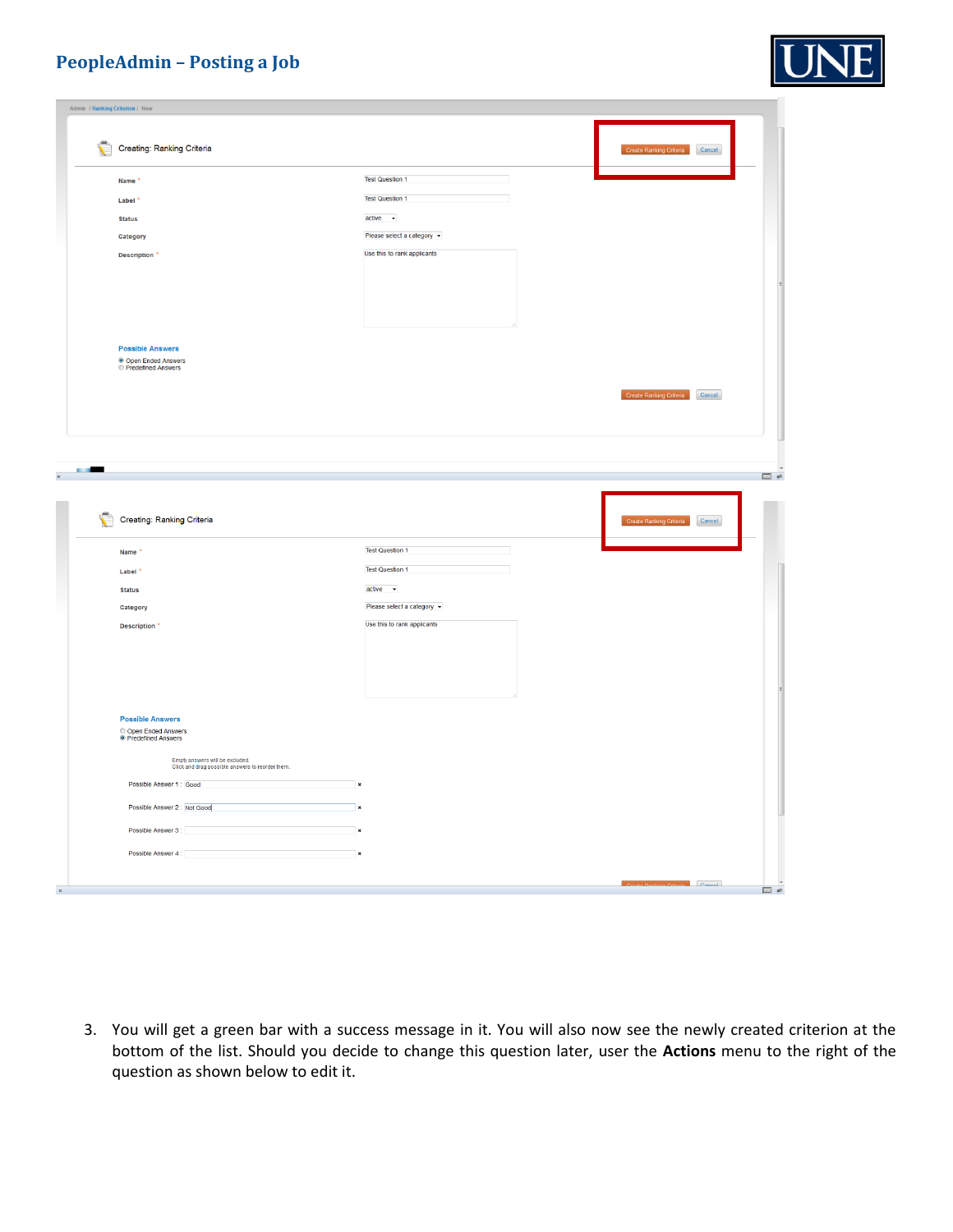

|                   | Creating: Ranking Criteria                                                          |                             | Create Ranking Criteria Cancel |  |
|-------------------|-------------------------------------------------------------------------------------|-----------------------------|--------------------------------|--|
|                   | Name <sup>*</sup>                                                                   | <b>Test Question 1</b>      |                                |  |
|                   | Label <sup>*</sup>                                                                  | <b>Test Question 1</b>      |                                |  |
|                   | <b>Status</b>                                                                       | $active \rightarrow$        |                                |  |
|                   | Category                                                                            | Please select a category v  |                                |  |
|                   | Description <sup>*</sup>                                                            | Use this to rank applicants |                                |  |
|                   |                                                                                     |                             |                                |  |
|                   |                                                                                     |                             |                                |  |
|                   |                                                                                     |                             |                                |  |
|                   |                                                                                     |                             |                                |  |
|                   | <b>Possible Answers</b>                                                             |                             |                                |  |
|                   | ● Open Ended Answers<br>● Predefined Answers                                        |                             |                                |  |
|                   |                                                                                     |                             | Create Ranking Criteria Cancel |  |
|                   |                                                                                     |                             |                                |  |
|                   |                                                                                     |                             |                                |  |
|                   |                                                                                     |                             |                                |  |
|                   |                                                                                     |                             |                                |  |
|                   |                                                                                     |                             |                                |  |
| <b>CONTRACTOR</b> |                                                                                     |                             |                                |  |
|                   | Creating: Ranking Criteria                                                          |                             | Create Ranking Criteria Cancel |  |
|                   | Name                                                                                | <b>Test Question 1</b>      |                                |  |
|                   | Label <sup>3</sup>                                                                  | <b>Test Question 1</b>      |                                |  |
|                   | <b>Status</b>                                                                       | $active -$                  |                                |  |
|                   | Category                                                                            | Please select a category v  |                                |  |
|                   | Description <sup>*</sup>                                                            | Use this to rank applicants |                                |  |
|                   |                                                                                     |                             |                                |  |
|                   |                                                                                     |                             |                                |  |
|                   |                                                                                     |                             |                                |  |
|                   |                                                                                     |                             |                                |  |
|                   | <b>Possible Answers</b>                                                             |                             |                                |  |
|                   | © Open Ended Answers<br>© Predefined Answers                                        |                             |                                |  |
|                   |                                                                                     |                             |                                |  |
|                   | Empty answers will be excluded.<br>Click and drag possible answers to reorder them. |                             |                                |  |
|                   | Possible Answer 1: Good                                                             |                             |                                |  |
|                   | Possible Answer 2 : Not Good                                                        |                             |                                |  |
|                   | Possible Answer 3:<br>the control of the control of the control of the              |                             |                                |  |
|                   | Possible Answer 4:<br>$\pmb{\times}$                                                |                             |                                |  |

3. You will get a green bar with a success message in it. You will also now see the newly created criterion at the bottom of the list. Should you decide to change this question later, user the **Actions** menu to the right of the question as shown below to edit it.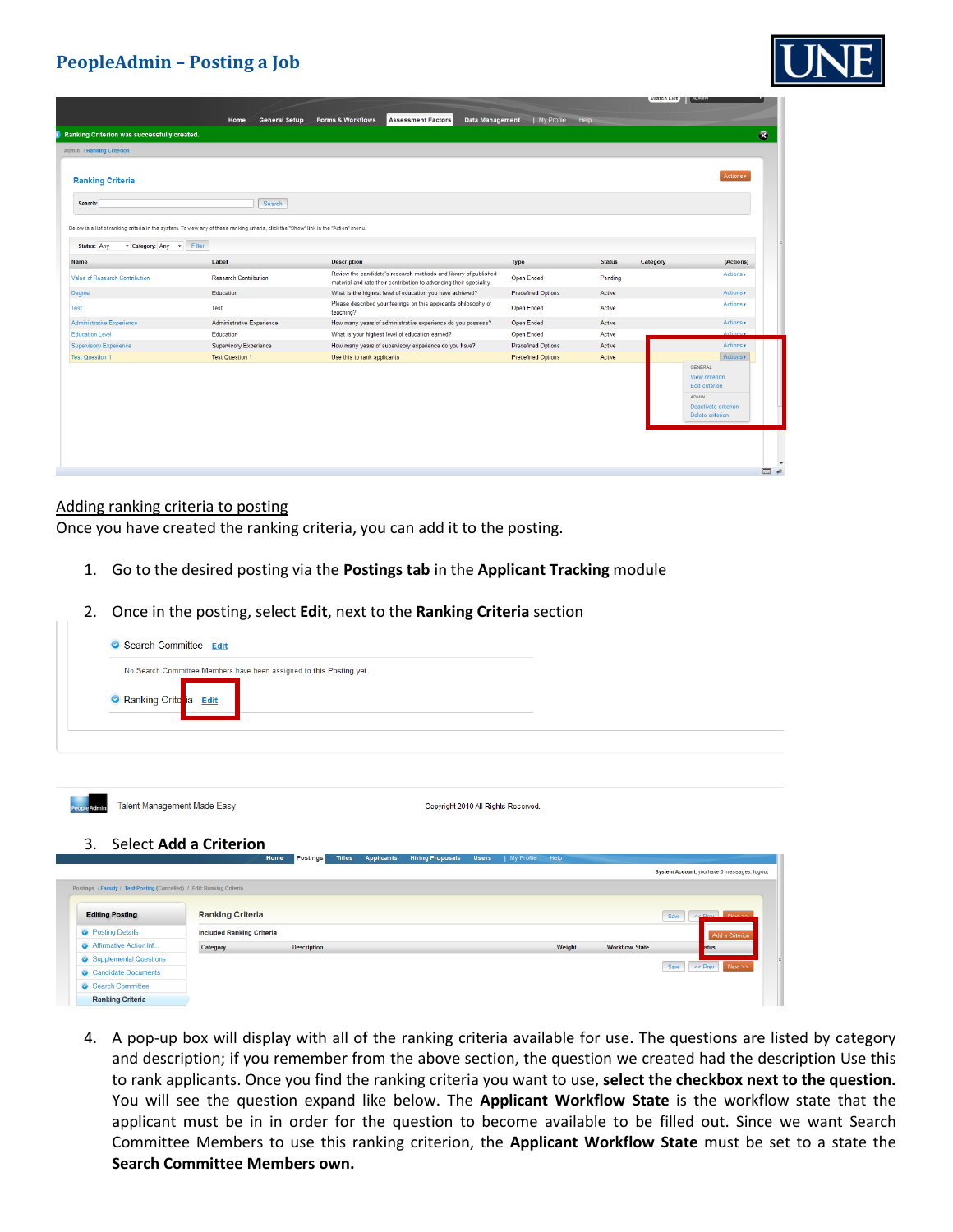|                                                                                                                                                                                          |                                  |                                                                                                                                         |                           |               | <b>VYALCII LISL</b><br><b>MARINE</b> |
|------------------------------------------------------------------------------------------------------------------------------------------------------------------------------------------|----------------------------------|-----------------------------------------------------------------------------------------------------------------------------------------|---------------------------|---------------|--------------------------------------|
|                                                                                                                                                                                          | Home<br><b>General Setup</b>     | <b>Forms &amp; Workflows</b><br><b>Assessment Factors</b><br>Data Management                                                            | My Profile Help           |               |                                      |
| Ranking Criterion was successfully created.                                                                                                                                              |                                  |                                                                                                                                         |                           |               |                                      |
| <b>Admin / Ranking Criterion</b>                                                                                                                                                         |                                  |                                                                                                                                         |                           |               |                                      |
| <b>Ranking Criteria</b>                                                                                                                                                                  |                                  |                                                                                                                                         |                           |               | Actions v                            |
| Search:                                                                                                                                                                                  | Search                           |                                                                                                                                         |                           |               |                                      |
| Below is a list of ranking criteria in the system. To view any of these ranking criteria, click the "Show" link in the "Action" menu.<br>Filter<br><b>Status: Any</b><br>Category: Any v |                                  |                                                                                                                                         |                           |               |                                      |
| <b>Name</b>                                                                                                                                                                              | Label                            | <b>Description</b>                                                                                                                      | <b>Type</b>               | <b>Status</b> | (Actions)<br>Category                |
| Value of Research Contribution                                                                                                                                                           | <b>Research Contribution</b>     | Review the candidate's research methods and library of published<br>material and rate their contribution to advancing their speciality. | <b>Open Ended</b>         | Pending       | Actions v                            |
|                                                                                                                                                                                          |                                  |                                                                                                                                         | <b>Predefined Options</b> | Active        | Actions v                            |
|                                                                                                                                                                                          | Education                        | What is the highest level of education you have achieved?                                                                               |                           |               |                                      |
| Degree<br>Test                                                                                                                                                                           | Test                             | Please described your feelings on this applicants philosophy of<br>teaching?                                                            | Open Ended                | Active        | Actions v                            |
|                                                                                                                                                                                          | <b>Administrative Experience</b> | How many years of administrative experience do you possess?                                                                             | Open Ended                | Active        | Actions v                            |
| Administrative Experience<br><b>Education Level</b>                                                                                                                                      | Education                        | What is your highest level of education earned?                                                                                         | <b>Open Ended</b>         | Active        | Actions -                            |
| <b>Supervisory Experience</b>                                                                                                                                                            | <b>Supervisory Experience</b>    | How many years of supervisory experience do you have?                                                                                   | <b>Predefined Options</b> | Active        | Actions v                            |
| <b>Test Question 1</b>                                                                                                                                                                   | <b>Test Question 1</b>           | Use this to rank applicants                                                                                                             | <b>Predefined Options</b> | Active        | Actions <b>v</b><br><b>GENERAL</b>   |

#### Adding ranking criteria to posting

Candidate Documents Search Committee **Ranking Criteria** 

Once you have created the ranking criteria, you can add it to the posting.

- 1. Go to the desired posting via the **Postings tab** in the **Applicant Tracking** module
- 2. Once in the posting, select **Edit**, next to the **Ranking Criteria** section

| Search Committee Edit                                                  |                                  |                                                                     |                   |                         |                                     |                    |                       |                                             |
|------------------------------------------------------------------------|----------------------------------|---------------------------------------------------------------------|-------------------|-------------------------|-------------------------------------|--------------------|-----------------------|---------------------------------------------|
|                                                                        |                                  | No Search Committee Members have been assigned to this Posting yet. |                   |                         |                                     |                    |                       |                                             |
| Ranking Crite ia Edit                                                  |                                  |                                                                     |                   |                         |                                     |                    |                       |                                             |
|                                                                        |                                  |                                                                     |                   |                         |                                     |                    |                       |                                             |
|                                                                        |                                  |                                                                     |                   |                         |                                     |                    |                       |                                             |
| Talent Management Made Easy                                            |                                  |                                                                     |                   |                         | Copyright 2010 All Rights Reserved. |                    |                       |                                             |
| 3.                                                                     | Select Add a Criterion           |                                                                     |                   |                         |                                     |                    |                       |                                             |
|                                                                        |                                  | <b>Postings</b><br><b>Titles</b><br>Home                            | <b>Applicants</b> | <b>Hiring Proposals</b> | <b>Users</b>                        | My Profile<br>Help |                       | System Account, you have 0 messages. logout |
| Postings / Faculty / Test Posting (Cancelled) / Edit: Ranking Criteria |                                  |                                                                     |                   |                         |                                     |                    |                       |                                             |
| <b>Editing Posting</b>                                                 | <b>Ranking Criteria</b>          |                                                                     |                   |                         |                                     |                    |                       | <b>ZZ Draw Move St</b><br>Save              |
| <b>O</b> Posting Details                                               | <b>Included Ranking Criteria</b> |                                                                     |                   |                         |                                     |                    |                       | Add a Criterion                             |
| Affirmative Action Inf                                                 | Category                         | <b>Description</b>                                                  |                   |                         |                                     | Weight             | <b>Workflow State</b> | atus                                        |
| Supplemental Questions<br>Constitution Comments                        |                                  |                                                                     |                   |                         |                                     |                    |                       | Save<br><< Prev<br>Next >>                  |

4. A pop-up box will display with all of the ranking criteria available for use. The questions are listed by category and description; if you remember from the above section, the question we created had the description Use this to rank applicants. Once you find the ranking criteria you want to use, **select the checkbox next to the question.** You will see the question expand like below. The **Applicant Workflow State** is the workflow state that the applicant must be in in order for the question to become available to be filled out. Since we want Search Committee Members to use this ranking criterion, the **Applicant Workflow State** must be set to a state the **Search Committee Members own.**

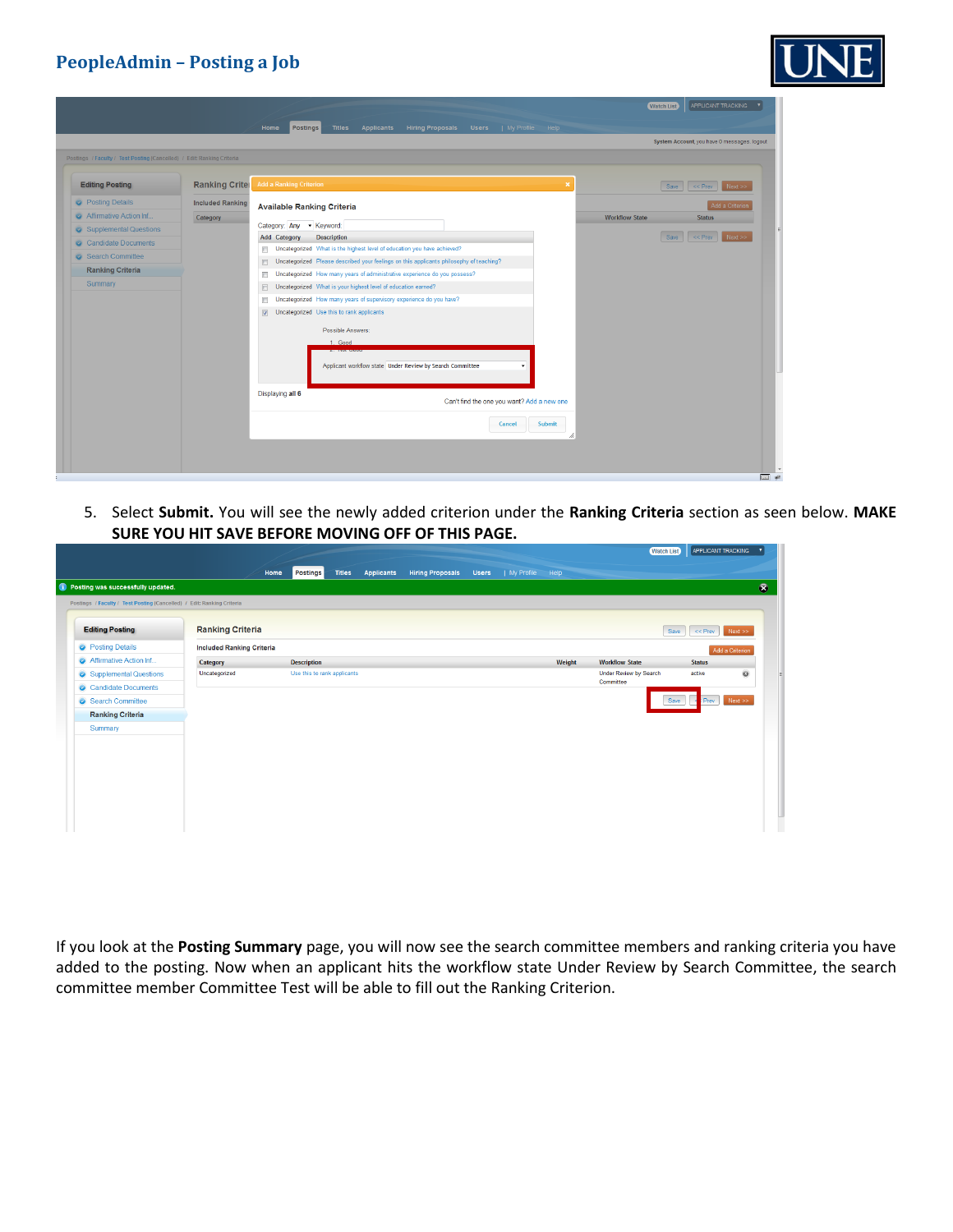

|                                                                                                  |                         | APPLICANT TRACKING<br><b>Watch List</b><br><b>Hiring Proposals</b><br><b>Users</b><br>  My Profile Help<br><b>Postings</b><br><b>Titles</b><br><b>Applicants</b><br>Home |
|--------------------------------------------------------------------------------------------------|-------------------------|--------------------------------------------------------------------------------------------------------------------------------------------------------------------------|
|                                                                                                  |                         | System Account, you have 0 messages, logout                                                                                                                              |
| Postings / Faculty / Test Posting (Cancelled) / Edit: Ranking Criteria<br><b>Editing Posting</b> | <b>Ranking Criter</b>   | <b>Add a Ranking Criterion</b><br>$\pmb{\times}$<br>Save << Prev<br>Next                                                                                                 |
| <b>O</b> Posting Details                                                                         | <b>Included Ranking</b> | Add a Criterior<br><b>Available Ranking Criteria</b>                                                                                                                     |
| Affirmative Action Inf.                                                                          | Category                | <b>Workflow State</b><br><b>Status</b>                                                                                                                                   |
| Supplemental Questions                                                                           |                         | Category: Any - Keyword:<br><b>Add Category</b><br><b>Description</b><br>Save<br>$\leq$ $\leq$ Prev<br>Next                                                              |
| Candidate Documents                                                                              |                         | Uncategorized What is the highest level of education you have achieved?<br>П                                                                                             |
| Search Committee                                                                                 |                         | Uncategorized Please described your feelings on this applicants philosophy of teaching?<br>m                                                                             |
| <b>Ranking Criteria</b>                                                                          |                         | Uncategorized How many years of administrative experience do you possess?<br>C.                                                                                          |
| Summary                                                                                          |                         | Uncategorized What is your highest level of education earned?<br>E                                                                                                       |
|                                                                                                  |                         | Uncategorized How many years of supervisory experience do you have?<br>n                                                                                                 |
|                                                                                                  |                         | Uncategorized Use this to rank applicants<br>$\overline{\mathbf{v}}$                                                                                                     |
|                                                                                                  |                         | Possible Answers:                                                                                                                                                        |
|                                                                                                  |                         | 1. Good                                                                                                                                                                  |
|                                                                                                  |                         | <b>PARK PARKS</b><br>Applicant workflow state Under Review by Search Committee<br>٠                                                                                      |
|                                                                                                  |                         | Displaying all 6<br>Can't find the one you want? Add a new one                                                                                                           |
|                                                                                                  |                         | Submit<br>Cancel                                                                                                                                                         |
|                                                                                                  |                         |                                                                                                                                                                          |
|                                                                                                  |                         | 园观                                                                                                                                                                       |

5. Select **Submit.** You will see the newly added criterion under the **Ranking Criteria** section as seen below. **MAKE SURE YOU HIT SAVE BEFORE MOVING OFF OF THIS PAGE.**

|                                                                        |                                  |                                          |                                              |                              |        | <b>Watch List</b>             | APPLICANT TRACKING |                 |
|------------------------------------------------------------------------|----------------------------------|------------------------------------------|----------------------------------------------|------------------------------|--------|-------------------------------|--------------------|-----------------|
|                                                                        |                                  | <b>Postings</b><br><b>Titles</b><br>Home | <b>Applicants</b><br><b>Hiring Proposals</b> | I My Profile<br><b>Users</b> | Help   |                               |                    |                 |
| <b>O</b> Posting was successfully updated.                             |                                  |                                          |                                              |                              |        |                               |                    |                 |
| Postings / Faculty / Test Posting (Cancelled) / Edit: Ranking Criteria |                                  |                                          |                                              |                              |        |                               |                    |                 |
| <b>Editing Posting</b>                                                 | <b>Ranking Criteria</b>          |                                          |                                              |                              |        |                               | $<<$ Prev<br>Save  | Next            |
| <b>O</b> Posting Details                                               | <b>Included Ranking Criteria</b> |                                          |                                              |                              |        |                               |                    | Add a Criterion |
| Affirmative Action Inf                                                 | Category                         | <b>Description</b>                       |                                              |                              | Weight | <b>Workflow State</b>         | <b>Status</b>      |                 |
| Supplemental Questions                                                 | Uncategorized                    | Use this to rank applicants              |                                              |                              |        | <b>Under Review by Search</b> | active             | $\odot$         |
| Candidate Documents                                                    |                                  |                                          |                                              |                              |        | Committee                     |                    |                 |
| Search Committee                                                       |                                  |                                          |                                              |                              |        |                               | Save<br>Prev       | Next            |
| <b>Ranking Criteria</b>                                                |                                  |                                          |                                              |                              |        |                               |                    |                 |
| Summary                                                                |                                  |                                          |                                              |                              |        |                               |                    |                 |
|                                                                        |                                  |                                          |                                              |                              |        |                               |                    |                 |
|                                                                        |                                  |                                          |                                              |                              |        |                               |                    |                 |
|                                                                        |                                  |                                          |                                              |                              |        |                               |                    |                 |
|                                                                        |                                  |                                          |                                              |                              |        |                               |                    |                 |
|                                                                        |                                  |                                          |                                              |                              |        |                               |                    |                 |
|                                                                        |                                  |                                          |                                              |                              |        |                               |                    |                 |
|                                                                        |                                  |                                          |                                              |                              |        |                               |                    |                 |

If you look at the **Posting Summary** page, you will now see the search committee members and ranking criteria you have added to the posting. Now when an applicant hits the workflow state Under Review by Search Committee, the search committee member Committee Test will be able to fill out the Ranking Criterion.